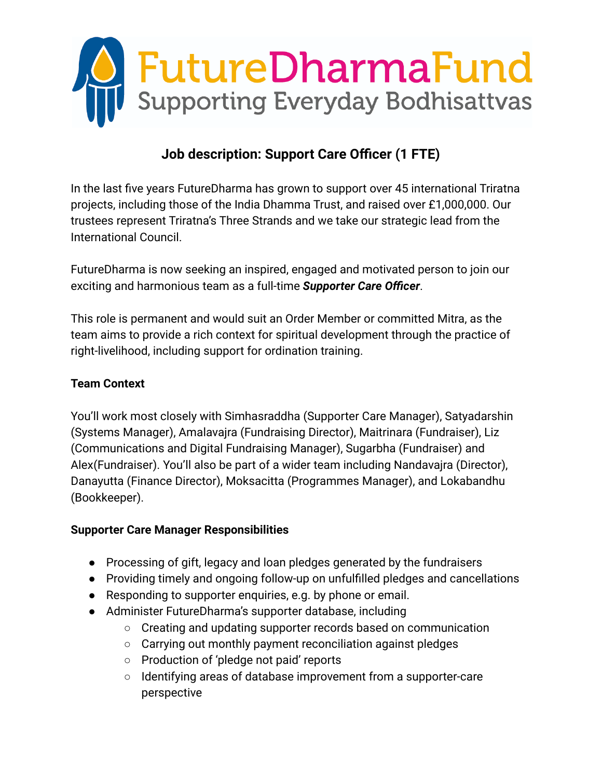

# **Job description: Support Care Officer (1 FTE)**

In the last five years FutureDharma has grown to support over 45 international Triratna projects, including those of the India Dhamma Trust, and raised over £1,000,000. Our trustees represent Triratna's Three Strands and we take our strategic lead from the International Council.

FutureDharma is now seeking an inspired, engaged and motivated person to join our exciting and harmonious team as a full-time *Supporter Care Officer*.

This role is permanent and would suit an Order Member or committed Mitra, as the team aims to provide a rich context for spiritual development through the practice of right-livelihood, including support for ordination training.

### **Team Context**

You'll work most closely with Simhasraddha (Supporter Care Manager), Satyadarshin (Systems Manager), Amalavajra (Fundraising Director), Maitrinara (Fundraiser), Liz (Communications and Digital Fundraising Manager), Sugarbha (Fundraiser) and Alex(Fundraiser). You'll also be part of a wider team including Nandavajra (Director), Danayutta (Finance Director), Moksacitta (Programmes Manager), and Lokabandhu (Bookkeeper).

### **Supporter Care Manager Responsibilities**

- Processing of gift, legacy and loan pledges generated by the fundraisers
- Providing timely and ongoing follow-up on unfulfilled pledges and cancellations
- Responding to supporter enquiries, e.g. by phone or email.
- Administer FutureDharma's supporter database, including
	- Creating and updating supporter records based on communication
	- Carrying out monthly payment reconciliation against pledges
	- Production of 'pledge not paid' reports
	- Identifying areas of database improvement from a supporter-care perspective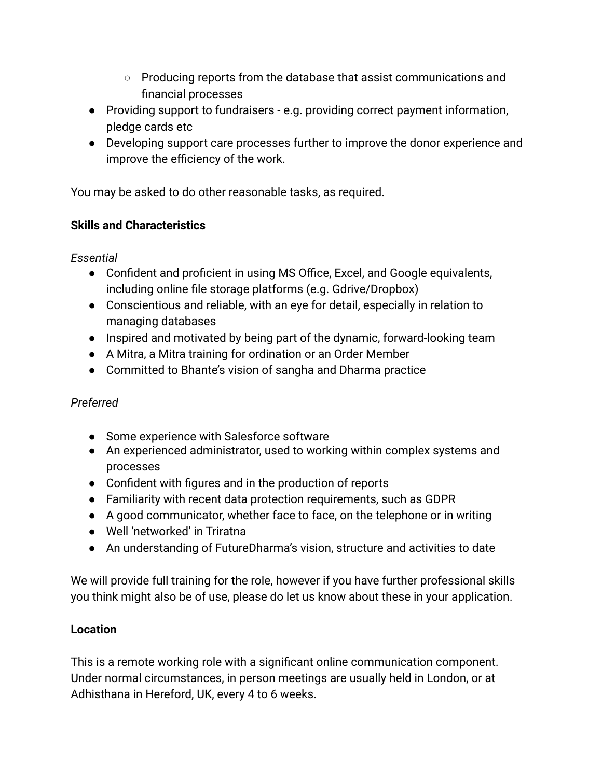- Producing reports from the database that assist communications and financial processes
- Providing support to fundraisers e.g. providing correct payment information, pledge cards etc
- Developing support care processes further to improve the donor experience and improve the efficiency of the work.

You may be asked to do other reasonable tasks, as required.

# **Skills and Characteristics**

*Essential*

- Confident and proficient in using MS Office, Excel, and Google equivalents, including online file storage platforms (e.g. Gdrive/Dropbox)
- Conscientious and reliable, with an eye for detail, especially in relation to managing databases
- Inspired and motivated by being part of the dynamic, forward-looking team
- A Mitra, a Mitra training for ordination or an Order Member
- Committed to Bhante's vision of sangha and Dharma practice

# *Preferred*

- Some experience with Salesforce software
- An experienced administrator, used to working within complex systems and processes
- Confident with figures and in the production of reports
- Familiarity with recent data protection requirements, such as GDPR
- A good communicator, whether face to face, on the telephone or in writing
- Well 'networked' in Triratna
- An understanding of FutureDharma's vision, structure and activities to date

We will provide full training for the role, however if you have further professional skills you think might also be of use, please do let us know about these in your application.

# **Location**

This is a remote working role with a significant online communication component. Under normal circumstances, in person meetings are usually held in London, or at Adhisthana in Hereford, UK, every 4 to 6 weeks.